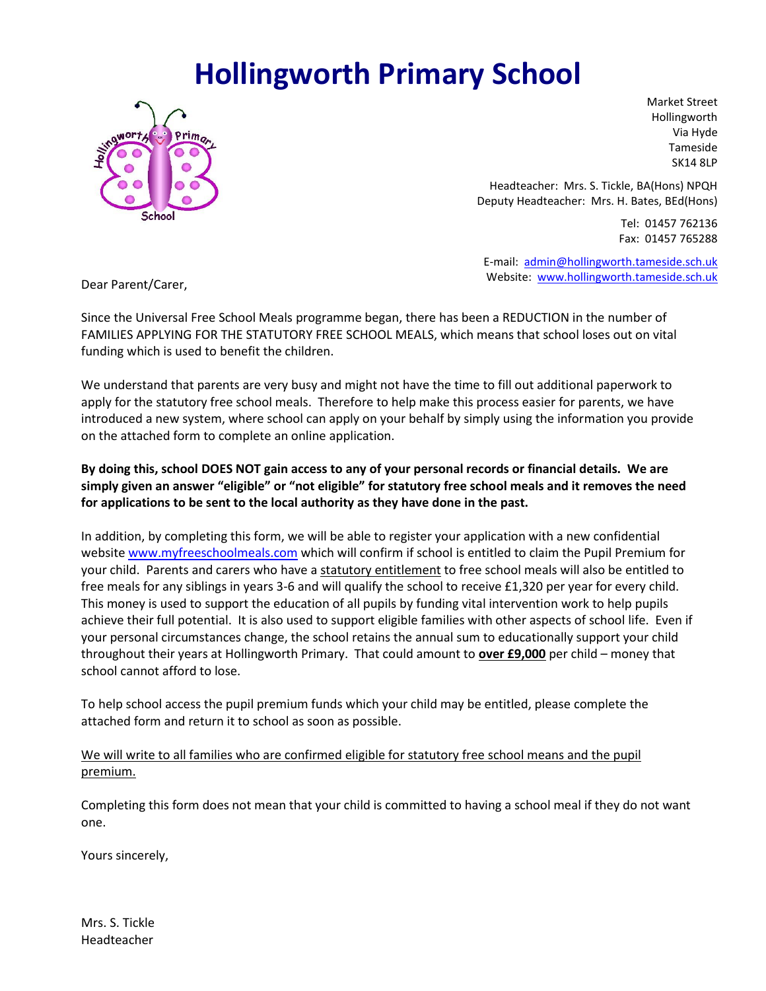## **Hollingworth Primary School**



Market Street Hollingworth Via Hyde Tameside SK14 8LP

Headteacher: Mrs. S. Tickle, BA(Hons) NPQH Deputy Headteacher: Mrs. H. Bates, BEd(Hons)

> Tel: 01457 762136 Fax: 01457 765288

E-mail: [admin@hollingworth.tameside.sch.uk](mailto:admin@hollingworth.tameside.gov.uk) Website: [www.hollingworth.tameside.sch.uk](http://www.hollingworth.tameside.sch.uk/)

Dear Parent/Carer,

Since the Universal Free School Meals programme began, there has been a REDUCTION in the number of FAMILIES APPLYING FOR THE STATUTORY FREE SCHOOL MEALS, which means that school loses out on vital funding which is used to benefit the children.

We understand that parents are very busy and might not have the time to fill out additional paperwork to apply for the statutory free school meals. Therefore to help make this process easier for parents, we have introduced a new system, where school can apply on your behalf by simply using the information you provide on the attached form to complete an online application.

**By doing this, school DOES NOT gain access to any of your personal records or financial details. We are simply given an answer "eligible" or "not eligible" for statutory free school meals and it removes the need for applications to be sent to the local authority as they have done in the past.**

In addition, by completing this form, we will be able to register your application with a new confidential websit[e www.myfreeschoolmeals.com](http://www.myfreeschoolmeals.com/) which will confirm if school is entitled to claim the Pupil Premium for your child. Parents and carers who have a statutory entitlement to free school meals will also be entitled to free meals for any siblings in years 3-6 and will qualify the school to receive £1,320 per year for every child. This money is used to support the education of all pupils by funding vital intervention work to help pupils achieve their full potential. It is also used to support eligible families with other aspects of school life. Even if your personal circumstances change, the school retains the annual sum to educationally support your child throughout their years at Hollingworth Primary. That could amount to **over £9,000** per child – money that school cannot afford to lose.

To help school access the pupil premium funds which your child may be entitled, please complete the attached form and return it to school as soon as possible.

#### We will write to all families who are confirmed eligible for statutory free school means and the pupil premium.

Completing this form does not mean that your child is committed to having a school meal if they do not want one.

Yours sincerely,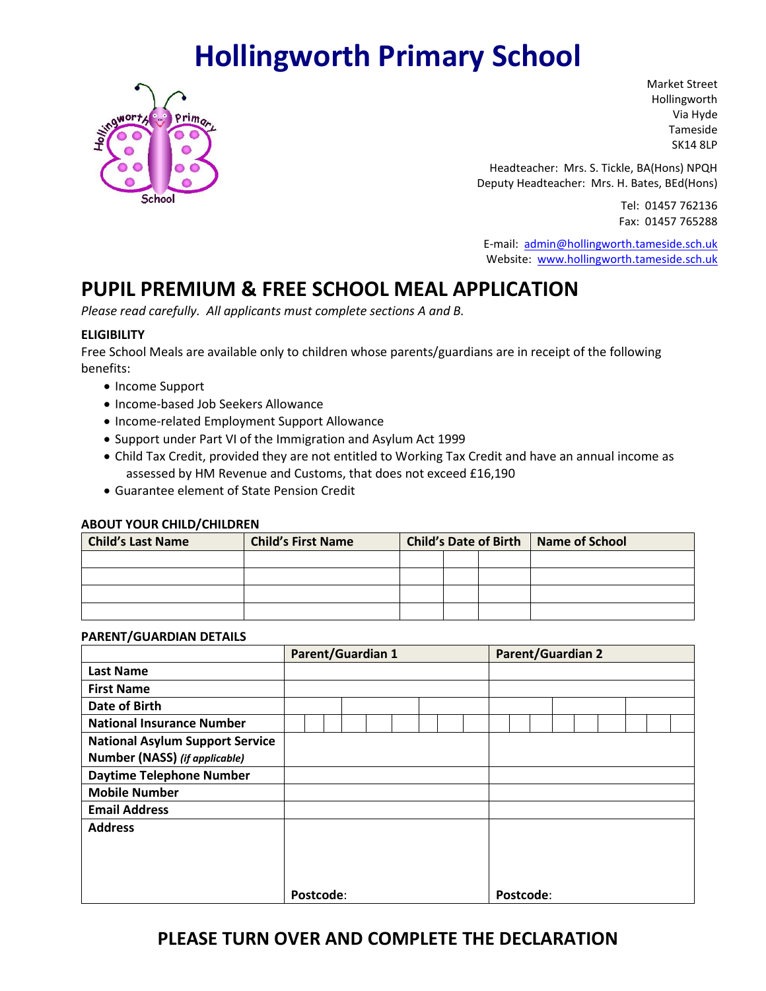# **Hollingworth Primary School**



Market Street Hollingworth Via Hyde Tameside SK14 8LP

Headteacher: Mrs. S. Tickle, BA(Hons) NPQH Deputy Headteacher: Mrs. H. Bates, BEd(Hons)

> Tel: 01457 762136 Fax: 01457 765288

E-mail: [admin@hollingworth.tameside.sch.uk](mailto:admin@hollingworth.tameside.gov.uk) Website: [www.hollingworth.tameside.sch.uk](http://www.hollingworth.tameside.sch.uk/)

### **PUPIL PREMIUM & FREE SCHOOL MEAL APPLICATION**

*Please read carefully. All applicants must complete sections A and B.*

#### **ELIGIBILITY**

Free School Meals are available only to children whose parents/guardians are in receipt of the following benefits:

- Income Support
- Income-based Job Seekers Allowance
- Income-related Employment Support Allowance
- Support under Part VI of the Immigration and Asylum Act 1999
- Child Tax Credit, provided they are not entitled to Working Tax Credit and have an annual income as assessed by HM Revenue and Customs, that does not exceed £16,190
- Guarantee element of State Pension Credit

#### **ABOUT YOUR CHILD/CHILDREN**

| <b>Child's Last Name</b> | <b>Child's First Name</b> |  | Child's Date of Birth   Name of School |
|--------------------------|---------------------------|--|----------------------------------------|
|                          |                           |  |                                        |
|                          |                           |  |                                        |
|                          |                           |  |                                        |
|                          |                           |  |                                        |

#### **PARENT/GUARDIAN DETAILS**

|                                        | <b>Parent/Guardian 1</b> |           |  |  | <b>Parent/Guardian 2</b> |  |  |  |           |  |  |  |  |  |  |
|----------------------------------------|--------------------------|-----------|--|--|--------------------------|--|--|--|-----------|--|--|--|--|--|--|
| <b>Last Name</b>                       |                          |           |  |  |                          |  |  |  |           |  |  |  |  |  |  |
| <b>First Name</b>                      |                          |           |  |  |                          |  |  |  |           |  |  |  |  |  |  |
| <b>Date of Birth</b>                   |                          |           |  |  |                          |  |  |  |           |  |  |  |  |  |  |
| <b>National Insurance Number</b>       |                          |           |  |  |                          |  |  |  |           |  |  |  |  |  |  |
| <b>National Asylum Support Service</b> |                          |           |  |  |                          |  |  |  |           |  |  |  |  |  |  |
| Number (NASS) (if applicable)          |                          |           |  |  |                          |  |  |  |           |  |  |  |  |  |  |
| <b>Daytime Telephone Number</b>        |                          |           |  |  |                          |  |  |  |           |  |  |  |  |  |  |
| <b>Mobile Number</b>                   |                          |           |  |  |                          |  |  |  |           |  |  |  |  |  |  |
| <b>Email Address</b>                   |                          |           |  |  |                          |  |  |  |           |  |  |  |  |  |  |
| <b>Address</b>                         |                          |           |  |  |                          |  |  |  |           |  |  |  |  |  |  |
|                                        |                          |           |  |  |                          |  |  |  |           |  |  |  |  |  |  |
|                                        |                          |           |  |  |                          |  |  |  |           |  |  |  |  |  |  |
|                                        |                          |           |  |  |                          |  |  |  |           |  |  |  |  |  |  |
|                                        |                          | Postcode: |  |  |                          |  |  |  | Postcode: |  |  |  |  |  |  |

### **PLEASE TURN OVER AND COMPLETE THE DECLARATION**